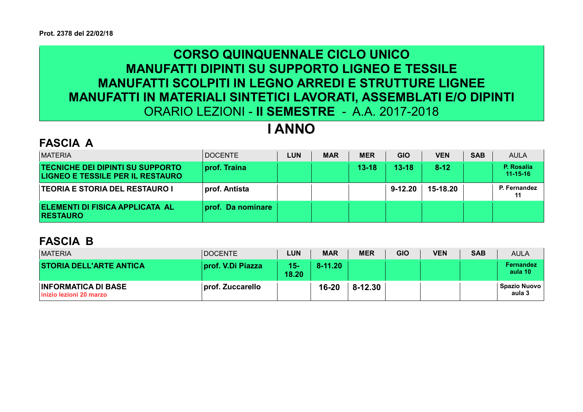## CORSO QUINQUENNALE CICLO UNICO MANUFATTI DIPINTI SU SUPPORTO LIGNEO E TESSILE MANUFATTI SCOLPITI IN LEGNO ARREDI E STRUTTURE LIGNEE MANUFATTI IN MATERIALI SINTETICI LAVORATI, ASSEMBLATI E/O DIPINTI ORARIO LEZIONI - II SEMESTRE - A.A. 2017-2018

# I ANNO

#### FASCIA A

| <b>MATERIA</b>                                                                     | <b>DOCENTE</b>    | <b>LUN</b> | <b>MAR</b> | <b>MER</b> | <b>GIO</b> | <b>VEN</b> | <b>SAB</b> | <b>AULA</b>                  |
|------------------------------------------------------------------------------------|-------------------|------------|------------|------------|------------|------------|------------|------------------------------|
| <b>TECNICHE DEI DIPINTI SU SUPPORTO</b><br><b>LIGNEO E TESSILE PER IL RESTAURO</b> | prof. Traina      |            |            | $13 - 18$  | $13 - 18$  | $8 - 12$   |            | P. Rosalia<br>$11 - 15 - 16$ |
| <b>TEORIA E STORIA DEL RESTAURO I</b>                                              | prof. Antista     |            |            |            | 9-12.20    | 15-18.20   |            | P. Fernandez                 |
| <b>ELEMENTI DI FISICA APPLICATA AL</b><br><b>RESTAURO</b>                          | prof. Da nominare |            |            |            |            |            |            |                              |

#### FASCIA B

| <b>MATERIA</b>                                         | <b>DOCENTE</b>    | <b>LUN</b>   | <b>MAR</b>  | <b>MER</b>  | <b>GIO</b> | <b>VEN</b> | <b>SAB</b> | <b>AULA</b>                   |
|--------------------------------------------------------|-------------------|--------------|-------------|-------------|------------|------------|------------|-------------------------------|
| <b>STORIA DELL'ARTE ANTICA</b>                         | prof. V.Di Piazza | 15)<br>18.20 | $8 - 11.20$ |             |            |            |            | <b>Fernandez</b><br>aula 10   |
| <b>INFORMATICA DI BASE</b><br>linizio lezioni 20 marzo | prof. Zuccarello  |              | $16 - 20$   | $8 - 12.30$ |            |            |            | <b>Spazio Nuovo</b><br>aula 3 |